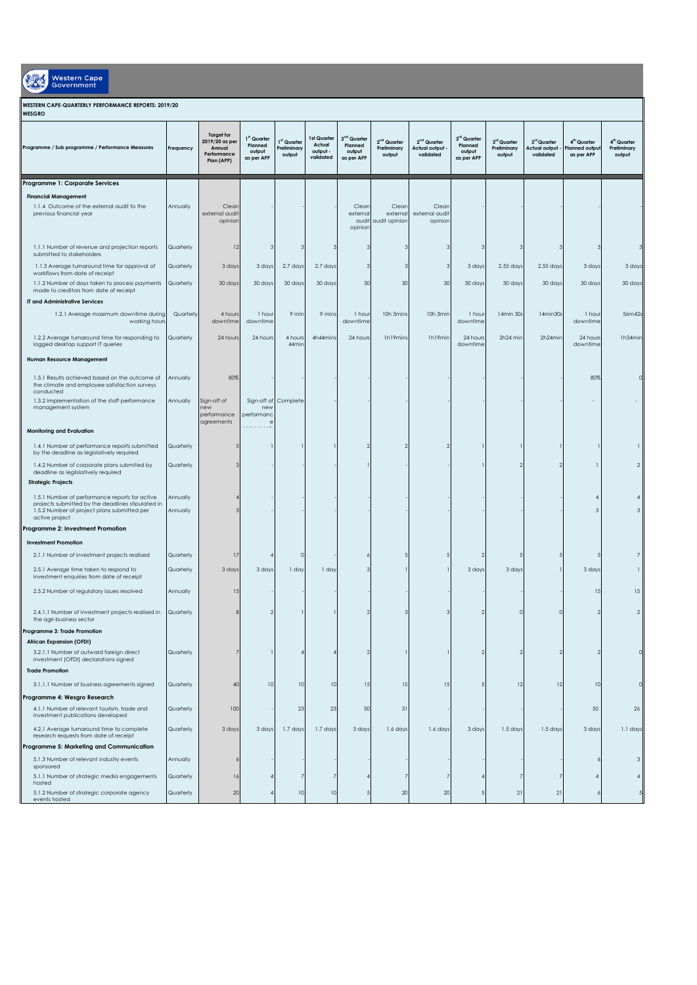| Western Cap |
|-------------|
|             |

## **WESTERN CAPE-QUARTERLY PERFORMANCE REPORTS: 2019/20**

| WESGRO                                                                                                                                                               |                        |                                                                            |                                                |                                      |                                                |                                                  |                                                  |                                                              |                                                |                                      |                                                  |                                                        |                                                  |
|----------------------------------------------------------------------------------------------------------------------------------------------------------------------|------------------------|----------------------------------------------------------------------------|------------------------------------------------|--------------------------------------|------------------------------------------------|--------------------------------------------------|--------------------------------------------------|--------------------------------------------------------------|------------------------------------------------|--------------------------------------|--------------------------------------------------|--------------------------------------------------------|--------------------------------------------------|
| Programme / Sub programme / Performance Measures                                                                                                                     | Frequency              | <b>Target for</b><br>2019/20 as per<br>Annual<br>Performance<br>Plan (APP) | 1st Quarter<br>Planned<br>output<br>as per APP | 1st Quarter<br>Preliminary<br>output | 1st Quarter<br>Actual<br>output -<br>validated | $2nd$ Quarter<br>Planned<br>output<br>as per APP | 2 <sup>nd</sup> Quarter<br>Preliminary<br>output | 2 <sup>nd</sup> Quarter<br><b>Actual output</b><br>validated | 3rd Quarter<br>Planned<br>output<br>as per APP | 3rd Quarter<br>Preliminary<br>output | 3rd Quarter<br><b>Actual output</b><br>validated | 4 <sup>th</sup> Quarter<br>lanned output<br>as per APP | 4 <sup>th</sup> Quarter<br>Preliminary<br>output |
| Programme 1: Corporate Services                                                                                                                                      |                        |                                                                            |                                                |                                      |                                                |                                                  |                                                  |                                                              |                                                |                                      |                                                  |                                                        |                                                  |
| <b>Financial Management</b><br>1.1.4 Outcome of the external audit fo the<br>previous financial year                                                                 | Annually               | Clear<br>external audit<br>opinior                                         |                                                |                                      |                                                | Clean<br>external<br>audit<br>opinion            | Clean<br>external<br>audit opinion               | Clean<br>external audit<br>opinion                           |                                                |                                      |                                                  |                                                        |                                                  |
| 1.1.1 Number of revenue and projection reports<br>submitted to stakeholders                                                                                          | Quarterly              | 12                                                                         |                                                | -3                                   | 3                                              |                                                  |                                                  |                                                              |                                                |                                      | з                                                |                                                        |                                                  |
| 1.1.3 Average turnaround time for approval of<br>workflows from date of receipt<br>1.1.2 Number of days taken to process payments                                    | Quarterly<br>Quarterly | 3 days<br>30 days                                                          | 3 days<br>30 days                              | 2.7 days<br>30 days                  | 2.7 days<br>30 days                            | -3<br>30                                         | 3<br>30                                          | 3<br>30                                                      | 3 days<br>30 days                              | $2.55$ days<br>30 days               | $2.55$ days<br>30 days                           | 3 days<br>30 days                                      | 3 days<br>30 days                                |
| made to creditors from date of receipt                                                                                                                               |                        |                                                                            |                                                |                                      |                                                |                                                  |                                                  |                                                              |                                                |                                      |                                                  |                                                        |                                                  |
| IT and Administrative Services                                                                                                                                       |                        |                                                                            |                                                |                                      |                                                |                                                  |                                                  |                                                              |                                                |                                      |                                                  |                                                        |                                                  |
| 1.2.1 Average maximum downtime during<br>working hours                                                                                                               | Quarterly              | 4 hours<br>downtime                                                        | 1 hour<br>downtime                             | 9 min                                | 9 mins                                         | 1 hour<br>downtime                               | 10h 3mins                                        | 10h 3min                                                     | 1 hour<br>downtime                             | 14min 30s                            | 14min30s                                         | 1 hour<br>downtime                                     | 56m42s                                           |
| 1.2.2 Average turnaround time for responding to<br>logged desktop support IT queries                                                                                 | Quarterly              | 24 hours                                                                   | 24 hours                                       | 4 hours<br>44min                     | 4h44mins                                       | 24 hours                                         | Ih19mins                                         | Ih19min                                                      | 24 hours<br>downtime                           | 2h24 min                             | 2h24min                                          | 24 hours<br>downtime                                   | 1h34min                                          |
| Human Resource Management                                                                                                                                            |                        |                                                                            |                                                |                                      |                                                |                                                  |                                                  |                                                              |                                                |                                      |                                                  |                                                        |                                                  |
| 1.3.1 Results achieved based on the outcome of<br>the climate and employee satisfaction surveys<br>conducted<br>1.3.2 Implementation of the staff performance        | Annually<br>Annually   | 80%<br>Sign-off of                                                         | Sign-off of                                    | Complete                             |                                                |                                                  |                                                  |                                                              |                                                |                                      |                                                  | 80%                                                    |                                                  |
| management system                                                                                                                                                    |                        | new<br>performance<br>agreements                                           | nev<br>performan                               |                                      |                                                |                                                  |                                                  |                                                              |                                                |                                      |                                                  |                                                        |                                                  |
| <b>Monitoring and Evaluation</b>                                                                                                                                     |                        |                                                                            |                                                |                                      |                                                |                                                  |                                                  |                                                              |                                                |                                      |                                                  |                                                        |                                                  |
| 1.4.1 Number of performance reports submitted<br>by the deadline as legislatively required                                                                           | Quarterly              |                                                                            |                                                |                                      |                                                | $\mathcal{P}$                                    |                                                  |                                                              |                                                |                                      |                                                  |                                                        |                                                  |
| 1.4.2 Number of corporate plans submited by<br>deadline as leglislatively required<br><b>Strategic Projects</b>                                                      | Quarterly              |                                                                            |                                                |                                      |                                                |                                                  |                                                  |                                                              |                                                |                                      |                                                  |                                                        | $\overline{2}$                                   |
|                                                                                                                                                                      |                        |                                                                            |                                                |                                      |                                                |                                                  |                                                  |                                                              |                                                |                                      |                                                  |                                                        |                                                  |
| 1.5.1 Number of performance reports for active<br>projects submitted by the deadlines stipulated in<br>1.5.2 Number of project plans submitted per<br>active project | Annually<br>Annually   |                                                                            |                                                |                                      |                                                |                                                  |                                                  |                                                              |                                                |                                      |                                                  | $\mathsf 3$                                            | 3                                                |
| Programme 2: Investment Promotion                                                                                                                                    |                        |                                                                            |                                                |                                      |                                                |                                                  |                                                  |                                                              |                                                |                                      |                                                  |                                                        |                                                  |
| <b>Investment Promotion</b>                                                                                                                                          |                        |                                                                            |                                                |                                      |                                                |                                                  |                                                  |                                                              |                                                |                                      |                                                  |                                                        |                                                  |
| 2.1.1 Number of investment projects realised                                                                                                                         | Quarterly              | 17                                                                         |                                                | $\circ$                              |                                                |                                                  |                                                  |                                                              |                                                |                                      |                                                  |                                                        | 7                                                |
| 2.5.1 Average time taken to respond to<br>investment enquiries from date of receipt                                                                                  | Quarterly              | 3 days                                                                     | 3 days                                         | 1 day                                | 1 day                                          | 3                                                |                                                  |                                                              | 3 days                                         | 3 days                               |                                                  | 3 days                                                 | n                                                |
| 2.5.2 Number of regulatory issues resolved                                                                                                                           | Annually               | U.                                                                         |                                                |                                      |                                                |                                                  |                                                  |                                                              |                                                |                                      |                                                  | 15                                                     | 15                                               |
| 2.4.1.1 Number of investment projects realised in<br>the agri-business sector<br>Programme 3: Trade Promotion                                                        | Quarterly              |                                                                            |                                                |                                      |                                                | $\mathcal{P}$                                    |                                                  |                                                              |                                                |                                      | $\Omega$                                         |                                                        | $\overline{2}$                                   |
| African Expansion (OFDI)                                                                                                                                             |                        |                                                                            |                                                |                                      |                                                |                                                  |                                                  |                                                              |                                                |                                      |                                                  |                                                        |                                                  |
| 3.2.1.1 Number of outward foreign direct<br>investment (OFDI) declarations signed                                                                                    | Quarterly              |                                                                            |                                                |                                      |                                                |                                                  |                                                  |                                                              |                                                |                                      |                                                  |                                                        |                                                  |
| <b>Trade Promotion</b>                                                                                                                                               |                        |                                                                            |                                                |                                      |                                                |                                                  |                                                  |                                                              |                                                |                                      |                                                  |                                                        |                                                  |
| 3.1.1.1 Number of business agreements signed                                                                                                                         | Quarterly              | 40                                                                         | 10                                             | 10                                   | 10                                             | 15                                               | 15                                               | 15                                                           |                                                | 12                                   | 12                                               | 10                                                     |                                                  |
| Programme 4: Wesgro Research                                                                                                                                         |                        |                                                                            |                                                |                                      |                                                |                                                  |                                                  |                                                              |                                                |                                      |                                                  |                                                        |                                                  |
| 4.1.1 Number of relevant tourism, trade and<br>investment publications developed                                                                                     | Quarterly              | 100                                                                        |                                                | 23                                   | 23                                             | 50                                               | 31                                               |                                                              |                                                |                                      |                                                  | 50                                                     | 26                                               |
| 4.2.1 Average turnaround time to complete<br>research requests from date of receipt<br>Programme 5: Marketing and Communication                                      | Quarterly              | 3 days                                                                     | 3 days                                         | 1.7 days                             | 1.7 days                                       | 3 days                                           | 1.6 days                                         | 1.6 days                                                     | 3 days                                         | 1.5 days                             | 1.5 days                                         | 3 days                                                 | 1.1 days                                         |
| 5.1.3 Number of relevant industry events                                                                                                                             | Annually               |                                                                            |                                                |                                      |                                                |                                                  |                                                  |                                                              |                                                |                                      |                                                  |                                                        | 3                                                |
| sponsored<br>5.1.1 Number of strategic media engagements                                                                                                             | Quarterly              | 16                                                                         |                                                |                                      |                                                |                                                  |                                                  | 7                                                            |                                                |                                      | 7                                                |                                                        |                                                  |
| hosted<br>5.1.2 Number of strategic corporate agency<br>events hosted                                                                                                | Quarterly              | 2C                                                                         |                                                | 10                                   | 10                                             |                                                  | 20                                               | 20                                                           |                                                | 21                                   | 21                                               |                                                        |                                                  |